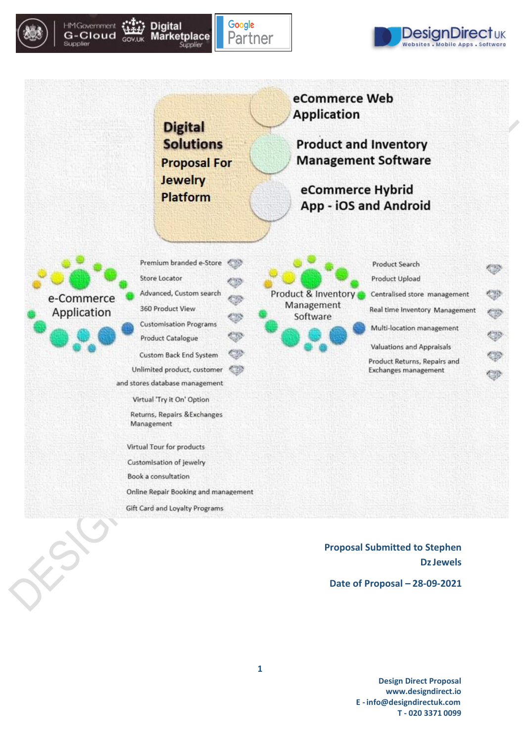

Supplier







**Proposal Submitted to Stephen DzJewels**

**Date of Proposal – 28-09-2021**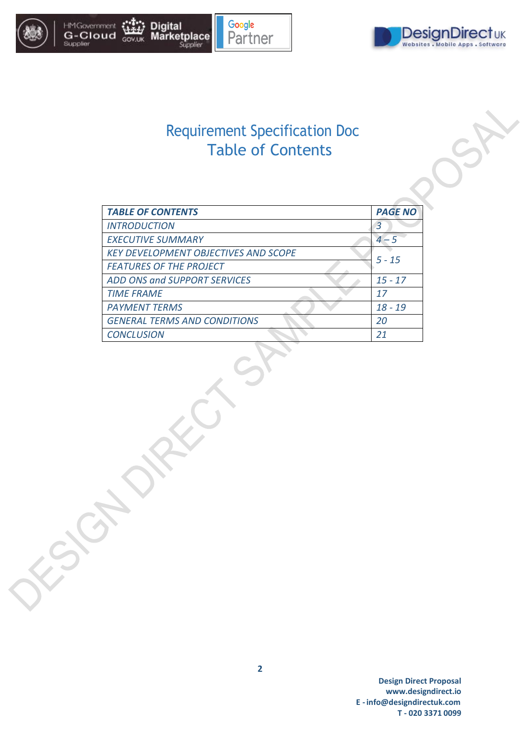

Supplier

#### **HMGovernment**<br>G-Cloud **Digital Marketplace** GOV.UK





# Requirement Specification Doc Table of Contents

| <b>TABLE OF CONTENTS</b>                    | <b>PAGE NO</b> |
|---------------------------------------------|----------------|
| <b>INTRODUCTION</b>                         | 3              |
| <b>EXECUTIVE SUMMARY</b>                    | $4 - 5$        |
| <b>KEY DEVELOPMENT OBJECTIVES AND SCOPE</b> | $5 - 15$       |
| <b>FEATURES OF THE PROJECT</b>              |                |
| ADD ONS and SUPPORT SERVICES                | $15 - 17$      |
| <b>TIME FRAME</b>                           | 17             |
| <b>PAYMENT TERMS</b>                        | $18 - 19$      |
| <b>GENERAL TERMS AND CONDITIONS</b>         | 20             |
| <b>CONCLUSION</b>                           |                |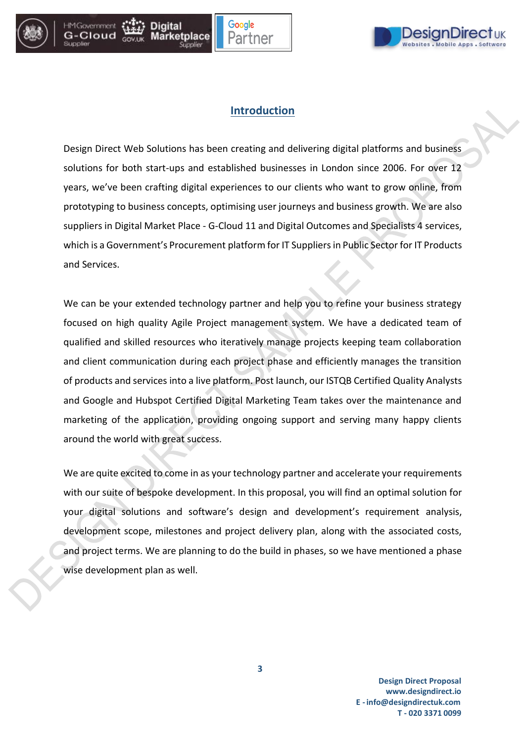

G-Clouc





### **Introduction**

Design Direct Web Solutions has been creating and delivering digital platforms and business solutions for both start-ups and established businesses in London since 2006. For over 12 years, we've been crafting digital experiences to our clients who want to grow online, from prototyping to business concepts, optimising user journeys and business growth. We are also suppliers in Digital Market Place - G-Cloud 11 and Digital Outcomes and Specialists 4 services, which is a Government's Procurement platform for IT Suppliers in Public Sector for IT Products and Services.

We can be your extended technology partner and help you to refine your business strategy focused on high quality Agile Project management system. We have a dedicated team of qualified and skilled resources who iteratively manage projects keeping team collaboration and client communication during each project phase and efficiently manages the transition of products and services into a live platform. Post launch, our ISTQB Certified Quality Analysts and Google and Hubspot Certified Digital Marketing Team takes over the maintenance and marketing of the application, providing ongoing support and serving many happy clients around the world with great success.

We are quite excited to come in as your technology partner and accelerate your requirements with our suite of bespoke development. In this proposal, you will find an optimal solution for your digital solutions and software's design and development's requirement analysis, development scope, milestones and project delivery plan, along with the associated costs, and project terms. We are planning to do the build in phases, so we have mentioned a phase wise development plan as well.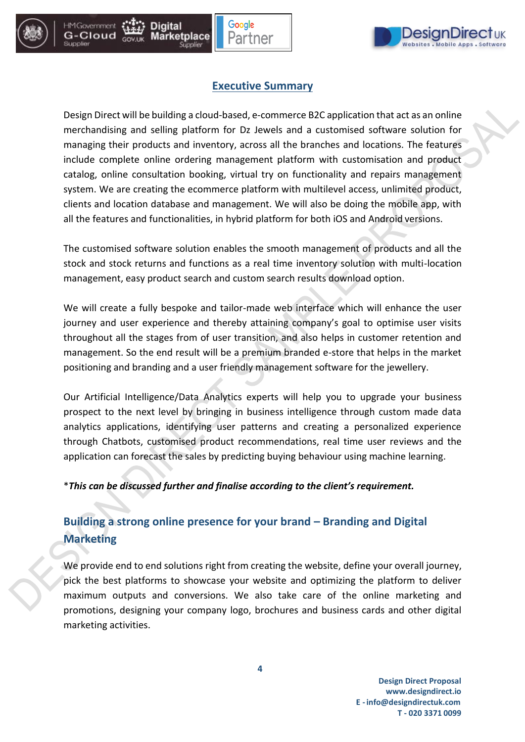



### **Executive Summary**

Design Direct will be building a cloud-based, e-commerce B2C application that act as an online merchandising and selling platform for Dz Jewels and a customised software solution for managing their products and inventory, across all the branches and locations. The features include complete online ordering management platform with customisation and product catalog, online consultation booking, virtual try on functionality and repairs management system. We are creating the ecommerce platform with multilevel access, unlimited product, clients and location database and management. We will also be doing the mobile app, with all the features and functionalities, in hybrid platform for both iOS and Android versions.

The customised software solution enables the smooth management of products and all the stock and stock returns and functions as a real time inventory solution with multi-location management, easy product search and custom search results download option.

We will create a fully bespoke and tailor-made web interface which will enhance the user journey and user experience and thereby attaining company's goal to optimise user visits throughout all the stages from of user transition, and also helps in customer retention and management. So the end result will be a premium branded e-store that helps in the market positioning and branding and a user friendly management software for the jewellery.

Our Artificial Intelligence/Data Analytics experts will help you to upgrade your business prospect to the next level by bringing in business intelligence through custom made data analytics applications, identifying user patterns and creating a personalized experience through Chatbots, customised product recommendations, real time user reviews and the application can forecast the sales by predicting buying behaviour using machine learning.

#### \**This can be discussed further and finalise according to the client's requirement.*

## **Building a strong online presence for your brand – Branding and Digital Marketing**

We provide end to end solutions right from creating the website, define your overall journey, pick the best platforms to showcase your website and optimizing the platform to deliver maximum outputs and conversions. We also take care of the online marketing and promotions, designing your company logo, brochures and business cards and other digital marketing activities.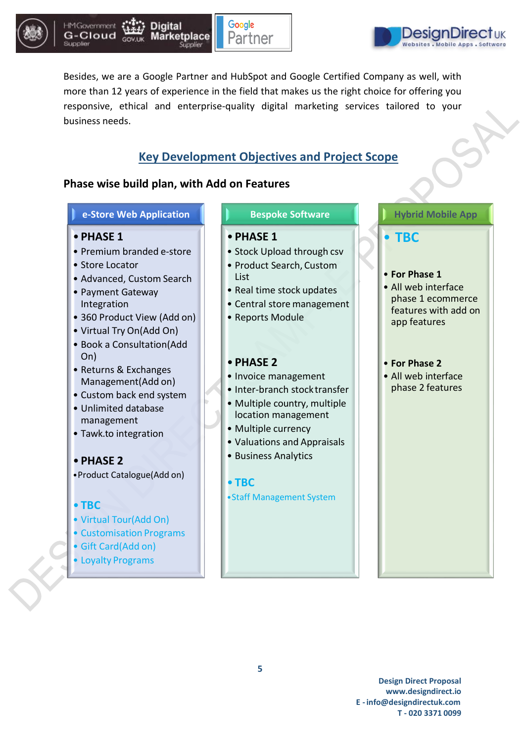





Besides, we are a Google Partner and HubSpot and Google Certified Company as well, with more than 12 years of experience in the field that makes us the right choice for offering you responsive, ethical and enterprise-quality digital marketing services tailored to your business needs.

### **Key Development Objectives and Project Scope**

### **Phase wise build plan, with Add on Features**

#### **e-Store Web Application**

- **PHASE 1**
- Premium branded e-store
- Store Locator
- Advanced, Custom Search
- Payment Gateway Integration
- 360 Product View (Add on)
- Virtual Try On(Add On)
- Book a Consultation(Add On)
- Returns & Exchanges Management(Add on)
- Custom back end system
- Unlimited database management
- Tawk.to integration

### • **PHASE 2**

•Product Catalogue(Add on)

#### • **TBC**

- Virtual Tour(Add On)
- Customisation Programs
- Gift Card(Add on)
- Loyalty Programs

#### **Bespoke Software**

### • **PHASE 1**

- Stock Upload through csv
- Product Search, Custom
- List • Real time stock updates
- Central store management
- Reports Module

#### • **PHASE 2**

- Invoice management
- Inter-branch stocktransfer
- Multiple country, multiple location management
- Multiple currency
- Valuations and Appraisals
- Business Analytics

#### • **TBC**

•Staff Management System

### **Hybrid Mobile App**

• **TBC**

#### • **For Phase 1**

• All web interface phase 1 ecommerce features with add on app features

#### • **For Phase 2**

• All web interface phase 2 features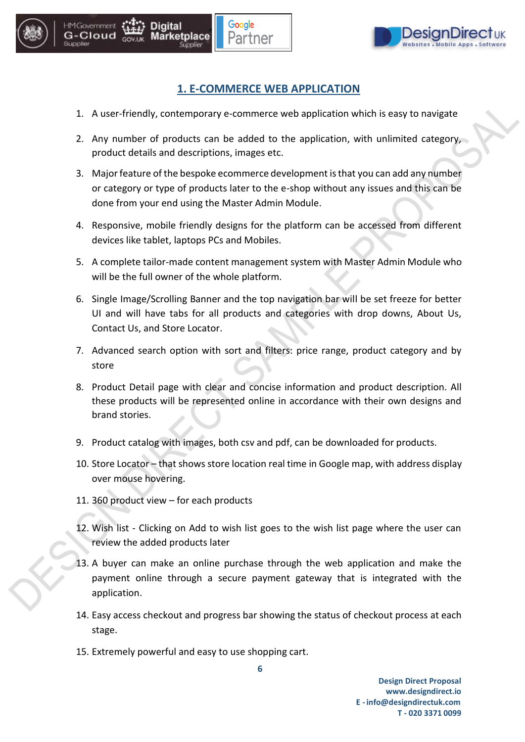

### **1. E-COMMERCE WEB APPLICATION**

Google

'artner

rketplace

**HM Government** G-Cloud

- 1. A user-friendly, contemporary e-commerce web application which is easy to navigate
- 2. Any number of products can be added to the application, with unlimited category, product details and descriptions, images etc.
- 3. Major feature of the bespoke ecommerce development is that you can add any number or category or type of products later to the e-shop without any issues and this can be done from your end using the Master Admin Module.
- 4. Responsive, mobile friendly designs for the platform can be accessed from different devices like tablet, laptops PCs and Mobiles.
- 5. A complete tailor-made content management system with Master Admin Module who will be the full owner of the whole platform.
- 6. Single Image/Scrolling Banner and the top navigation bar will be set freeze for better UI and will have tabs for all products and categories with drop downs, About Us, Contact Us, and Store Locator.
- 7. Advanced search option with sort and filters: price range, product category and by store
- 8. Product Detail page with clear and concise information and product description. All these products will be represented online in accordance with their own designs and brand stories.
- 9. Product catalog with images, both csv and pdf, can be downloaded for products.
- 10. Store Locator that shows store location real time in Google map, with address display over mouse hovering.
- 11. 360 product view for each products
- 12. Wish list Clicking on Add to wish list goes to the wish list page where the user can review the added products later
- 13. A buyer can make an online purchase through the web application and make the payment online through a secure payment gateway that is integrated with the application.
- 14. Easy access checkout and progress bar showing the status of checkout process at each stage.

**6**

15. Extremely powerful and easy to use shopping cart.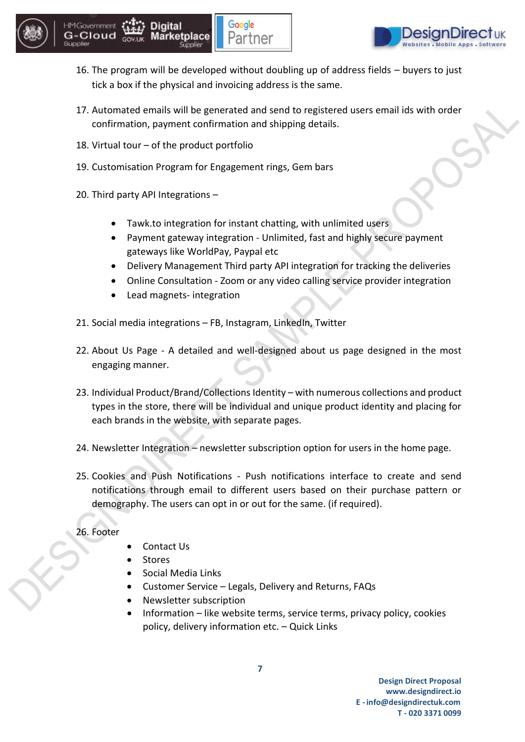





- 16. The program will be developed without doubling up of address fields buyers to just tick a box if the physical and invoicing address is the same.
- 17. Automated emails will be generated and send to registered users email ids with order confirmation, payment confirmation and shipping details.
- 18. Virtual tour of the product portfolio
- 19. Customisation Program for Engagement rings, Gem bars
- 20. Third party API Integrations
	- Tawk.to integration for instant chatting, with unlimited users
	- Payment gateway integration Unlimited, fast and highly secure payment gateways like WorldPay, Paypal etc
	- Delivery Management Third party API integration for tracking the deliveries
	- Online Consultation Zoom or any video calling service provider integration
	- Lead magnets- integration
- 21. Social media integrations FB, Instagram, LinkedIn, Twitter
- 22. About Us Page A detailed and well-designed about us page designed in the most engaging manner.
- 23. Individual Product/Brand/Collections Identity with numerous collections and product types in the store, there will be individual and unique product identity and placing for each brands in the website, with separate pages.
- 24. Newsletter Integration newsletter subscription option for users in the home page.
- 25. Cookies and Push Notifications Push notifications interface to create and send notifications through email to different users based on their purchase pattern or demography. The users can opt in or out for the same. (if required).

### 26. Footer

- Contact Us
- Stores
- Social Media Links
- Customer Service Legals, Delivery and Returns, FAQs
- Newsletter subscription
- Information like website terms, service terms, privacy policy, cookies policy, delivery information etc. – Quick Links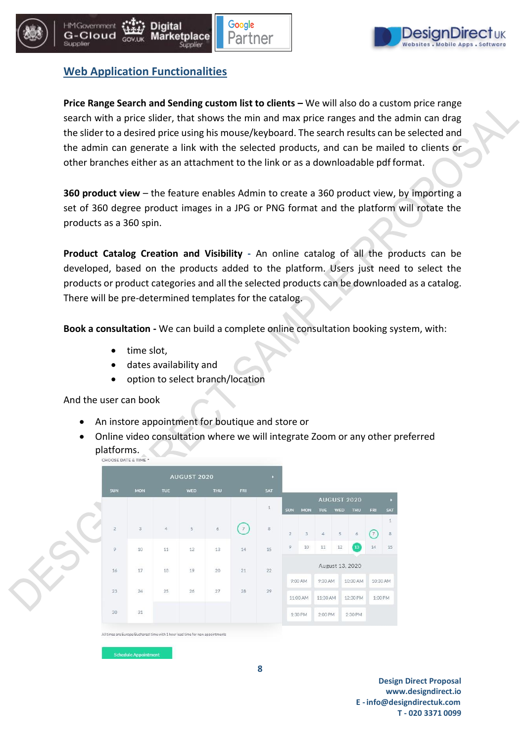





### **Web Application Functionalities**

**Price Range Search and Sending custom list to clients –** We will also do a custom price range search with a price slider, that shows the min and max price ranges and the admin can drag the slider to a desired price using his mouse/keyboard. The search results can be selected and the admin can generate a link with the selected products, and can be mailed to clients or other branches either as an attachment to the link or as a downloadable pdf format.

**360 product view** – the feature enables Admin to create a 360 product view, by importing a set of 360 degree product images in a JPG or PNG format and the platform will rotate the products as a 360 spin.

**Product Catalog Creation and Visibility -** An online catalog of all the products can be developed, based on the products added to the platform. Users just need to select the products or product categories and all the selected products can be downloaded as a catalog. There will be pre-determined templates for the catalog.

**Book a consultation -** We can build a complete online consultation booking system, with:

- time slot,
- dates availability and
- option to select branch/location

And the user can book

- An instore appointment for boutique and store or
- Online video consultation where we will integrate Zoom or any other preferred **platforms.**<br>CHOOSE DATE & TIME



All times are Europe/Bucharest time with 1 hour lead time for new appointments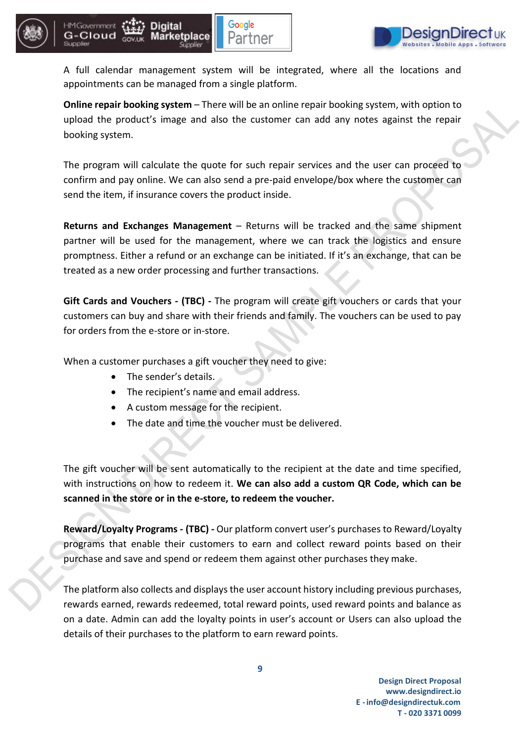



A full calendar management system will be integrated, where all the locations and appointments can be managed from a single platform.

Google

Partner

**Online repair booking system** – There will be an online repair booking system, with option to upload the product's image and also the customer can add any notes against the repair booking system.

The program will calculate the quote for such repair services and the user can proceed to confirm and pay online. We can also send a pre-paid envelope/box where the customer can send the item, if insurance covers the product inside.

**Returns and Exchanges Management** – Returns will be tracked and the same shipment partner will be used for the management, where we can track the logistics and ensure promptness. Either a refund or an exchange can be initiated. If it's an exchange, that can be treated as a new order processing and further transactions.

**Gift Cards and Vouchers - (TBC) -** The program will create gift vouchers or cards that your customers can buy and share with their friends and family. The vouchers can be used to pay for orders from the e-store or in-store.

When a customer purchases a gift voucher they need to give:

- The sender's details.
- The recipient's name and email address.
- A custom message for the recipient.
- The date and time the voucher must be delivered.

The gift voucher will be sent automatically to the recipient at the date and time specified, with instructions on how to redeem it. **We can also add a custom QR Code, which can be scanned in the store or in the e-store, to redeem the voucher.**

**Reward/Loyalty Programs - (TBC) -** Our platform convert user's purchases to Reward/Loyalty programs that enable their customers to earn and collect reward points based on their purchase and save and spend or redeem them against other purchases they make.

The platform also collects and displays the user account history including previous purchases, rewards earned, rewards redeemed, total reward points, used reward points and balance as on a date. Admin can add the loyalty points in user's account or Users can also upload the details of their purchases to the platform to earn reward points.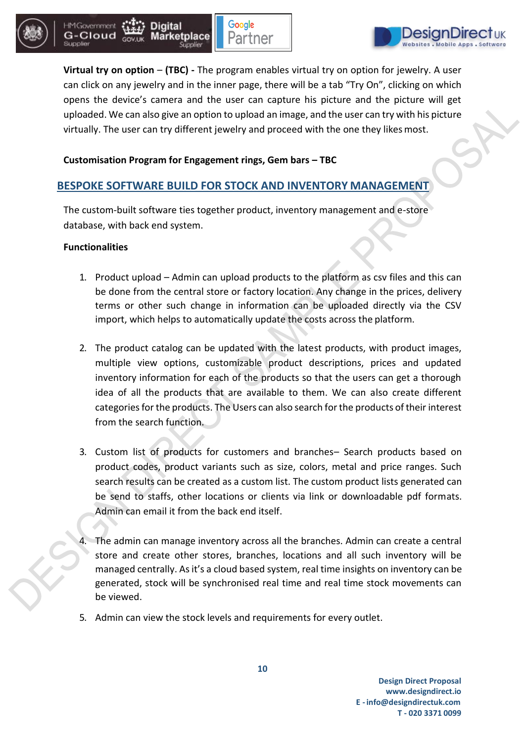





**Virtual try on option** – **(TBC) -** The program enables virtual try on option for jewelry. A user can click on any jewelry and in the inner page, there will be a tab "Try On", clicking on which opens the device's camera and the user can capture his picture and the picture will get uploaded. We can also give an option to upload an image, and the user can try with his picture virtually. The user can try different jewelry and proceed with the one they likesmost.

#### **Customisation Program for Engagement rings, Gem bars – TBC**

### **BESPOKE SOFTWARE BUILD FOR STOCK AND INVENTORY MANAGEMENT**

The custom-built software ties together product, inventory management and e-store database, with back end system.

#### **Functionalities**

- 1. Product upload Admin can upload products to the platform as csv files and this can be done from the central store or factory location. Any change in the prices, delivery terms or other such change in information can be uploaded directly via the CSV import, which helps to automatically update the costs across the platform.
- 2. The product catalog can be updated with the latest products, with product images, multiple view options, customizable product descriptions, prices and updated inventory information for each of the products so that the users can get a thorough idea of all the products that are available to them. We can also create different categoriesfor the products. The Users can also search for the products of their interest from the search function.
- 3. Custom list of products for customers and branches– Search products based on product codes, product variants such as size, colors, metal and price ranges. Such search results can be created as a custom list. The custom product lists generated can be send to staffs, other locations or clients via link or downloadable pdf formats. Admin can email it from the back end itself.
- 4. The admin can manage inventory across all the branches. Admin can create a central store and create other stores, branches, locations and all such inventory will be managed centrally. As it's a cloud based system, real time insights on inventory can be generated, stock will be synchronised real time and real time stock movements can be viewed.
- 5. Admin can view the stock levels and requirements for every outlet.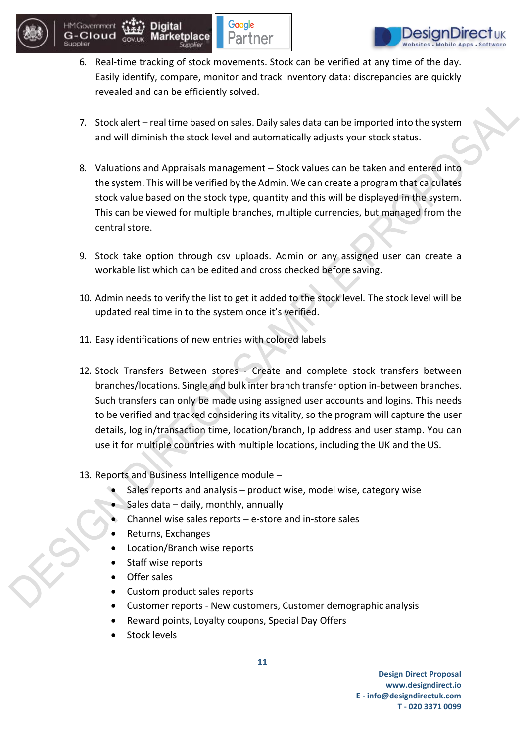



6. Real-time tracking of stock movements. Stock can be verified at any time of the day. Easily identify, compare, monitor and track inventory data: discrepancies are quickly revealed and can be efficiently solved.

Google

Partner

- 7. Stock alert real time based on sales. Daily sales data can be imported into the system and will diminish the stock level and automatically adjusts your stock status.
- 8. Valuations and Appraisals management Stock values can be taken and entered into the system. This will be verified by the Admin. We can create a program that calculates stock value based on the stock type, quantity and this will be displayed in the system. This can be viewed for multiple branches, multiple currencies, but managed from the central store.
- 9. Stock take option through csv uploads. Admin or any assigned user can create a workable list which can be edited and cross checked before saving.
- 10. Admin needs to verify the list to get it added to the stock level. The stock level will be updated real time in to the system once it's verified.
- 11. Easy identifications of new entries with colored labels
- 12. Stock Transfers Between stores Create and complete stock transfers between branches/locations. Single and bulk inter branch transfer option in-between branches. Such transfers can only be made using assigned user accounts and logins. This needs to be verified and tracked considering its vitality, so the program will capture the user details, log in/transaction time, location/branch, Ip address and user stamp. You can use it for multiple countries with multiple locations, including the UK and the US.

#### 13. Reports and Business Intelligence module –

- Sales reports and analysis product wise, model wise, category wise
	- Sales data daily, monthly, annually
- Channel wise sales reports  $-e$ -store and in-store sales
- Returns, Exchanges
- Location/Branch wise reports
- Staff wise reports
- Offer sales
- Custom product sales reports
- Customer reports New customers, Customer demographic analysis
- Reward points, Loyalty coupons, Special Day Offers
- Stock levels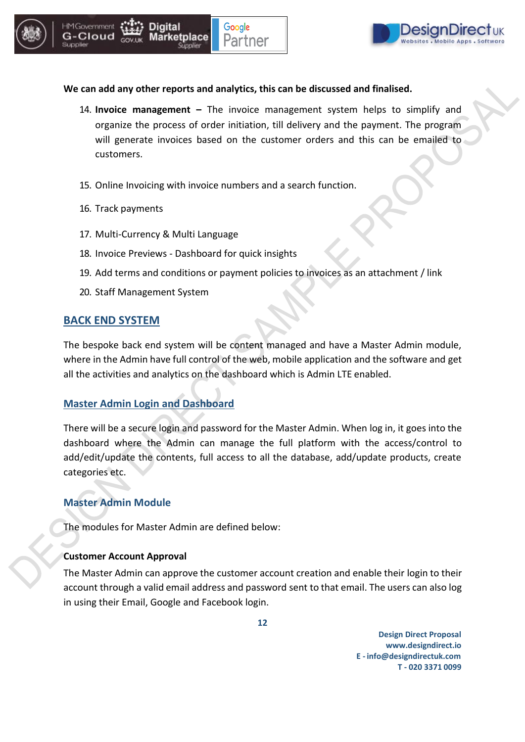

#### **We can add any other reports and analytics, this can be discussed and finalised.**

- 14. **Invoice management –** The invoice management system helps to simplify and organize the process of order initiation, till delivery and the payment. The program will generate invoices based on the customer orders and this can be emailed to customers.
- 15. Online Invoicing with invoice numbers and a search function.
- 16. Track payments
- 17. Multi-Currency & Multi Language
- 18. Invoice Previews Dashboard for quick insights
- 19. Add terms and conditions or payment policies to invoices as an attachment / link
- 20. Staff Management System

### **BACK END SYSTEM**

The bespoke back end system will be content managed and have a Master Admin module, where in the Admin have full control of the web, mobile application and the software and get all the activities and analytics on the dashboard which is Admin LTE enabled.

#### **Master Admin Login and Dashboard**

There will be a secure login and password for the Master Admin. When log in, it goes into the dashboard where the Admin can manage the full platform with the access/control to add/edit/update the contents, full access to all the database, add/update products, create categories etc.

#### **Master Admin Module**

The modules for Master Admin are defined below:

#### **Customer Account Approval**

The Master Admin can approve the customer account creation and enable their login to their account through a valid email address and password sent to that email. The users can also log in using their Email, Google and Facebook login.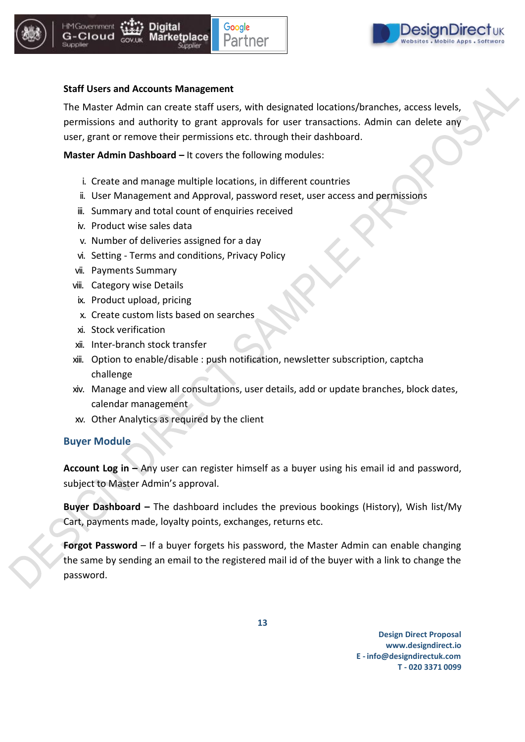

G-Cloud





#### **Staff Users and Accounts Management**

The Master Admin can create staff users, with designated locations/branches, access levels, permissions and authority to grant approvals for user transactions. Admin can delete any user, grant or remove their permissions etc. through their dashboard.

**Master Admin Dashboard –** It covers the following modules:

- i. Create and manage multiple locations, in different countries
- ii. User Management and Approval, password reset, user access and permissions
- iii. Summary and total count of enquiries received
- iv. Product wise sales data
- v. Number of deliveries assigned for a day
- vi. Setting Terms and conditions, Privacy Policy
- vii. Payments Summary
- viii. Category wise Details
- ix. Product upload, pricing
- x. Create custom lists based on searches
- xi. Stock verification
- xii. Inter-branch stock transfer
- xiii. Option to enable/disable : push notification, newsletter subscription, captcha challenge
- xiv. Manage and view all consultations, user details, add or update branches, block dates, calendar management
- xv. Other Analytics as required by the client

#### **Buyer Module**

**Account Log in –** Any user can register himself as a buyer using his email id and password, subject to Master Admin's approval.

**Buyer Dashboard –** The dashboard includes the previous bookings (History), Wish list/My Cart, payments made, loyalty points, exchanges, returns etc.

**Forgot Password** – If a buyer forgets his password, the Master Admin can enable changing the same by sending an email to the registered mail id of the buyer with a link to change the password.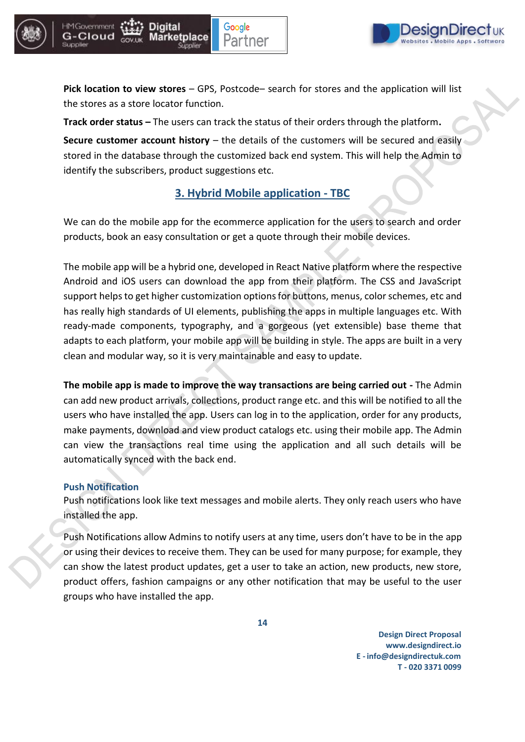



**Pick location to view stores** – GPS, Postcode– search for stores and the application will list the stores as a store locator function.

**Track order status –** The users can track the status of their orders through the platform**.**

**Secure customer account history** – the details of the customers will be secured and easily stored in the database through the customized back end system. This will help the Admin to identify the subscribers, product suggestions etc.

### **3. Hybrid Mobile application - TBC**

We can do the mobile app for the ecommerce application for the users to search and order products, book an easy consultation or get a quote through their mobile devices.

The mobile app will be a hybrid one, developed in React Native platform where the respective Android and iOS users can download the app from their platform. The CSS and JavaScript support helps to get higher customization options for buttons, menus, color schemes, etc and has really high standards of UI elements, publishing the apps in multiple languages etc. With ready-made components, typography, and a gorgeous (yet extensible) base theme that adapts to each platform, your mobile app will be building in style. The apps are built in a very clean and modular way, so it is very maintainable and easy to update.

**The mobile app is made to improve the way transactions are being carried out -** The Admin can add new product arrivals, collections, product range etc. and this will be notified to all the users who have installed the app. Users can log in to the application, order for any products, make payments, download and view product catalogs etc. using their mobile app. The Admin can view the transactions real time using the application and all such details will be automatically synced with the back end.

#### **Push Notification**

Push notifications look like text messages and mobile alerts. They only reach users who have installed the app.

Push Notifications allow Admins to notify users at any time, users don't have to be in the app or using their devices to receive them. They can be used for many purpose; for example, they can show the latest product updates, get a user to take an action, new products, new store, product offers, fashion campaigns or any other notification that may be useful to the user groups who have installed the app.

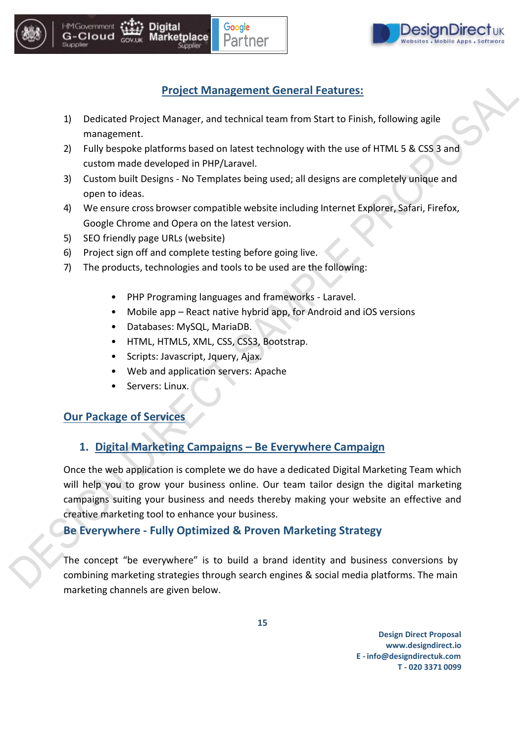





### **Project Management General Features:**

- 1) Dedicated Project Manager, and technical team from Start to Finish, following agile management.
- 2) Fully bespoke platforms based on latest technology with the use of HTML 5 & CSS 3 and custom made developed in PHP/Laravel.
- 3) Custom built Designs No Templates being used; all designs are completely unique and open to ideas.
- 4) We ensure cross browser compatible website including Internet Explorer, Safari, Firefox, Google Chrome and Opera on the latest version.
- 5) SEO friendly page URLs (website)
- 6) Project sign off and complete testing before going live.
- 7) The products, technologies and tools to be used are the following:
	- PHP Programing languages and frameworks Laravel.
	- Mobile app React native hybrid app, for Android and iOS versions
	- Databases: MySQL, MariaDB.
	- HTML, HTML5, XML, CSS, CSS3, Bootstrap.
	- Scripts: Javascript, Jquery, Ajax.
	- Web and application servers: Apache
	- Servers: Linux.

### **Our Package of Services**

### **1. Digital Marketing Campaigns – Be Everywhere Campaign**

Once the web application is complete we do have a dedicated Digital Marketing Team which will help you to grow your business online. Our team tailor design the digital marketing campaigns suiting your business and needs thereby making your website an effective and creative marketing tool to enhance your business.

### **Be Everywhere - Fully Optimized & Proven Marketing Strategy**

The concept "be everywhere" is to build a brand identity and business conversions by combining marketing strategies through search engines & social media platforms. The main marketing channels are given below.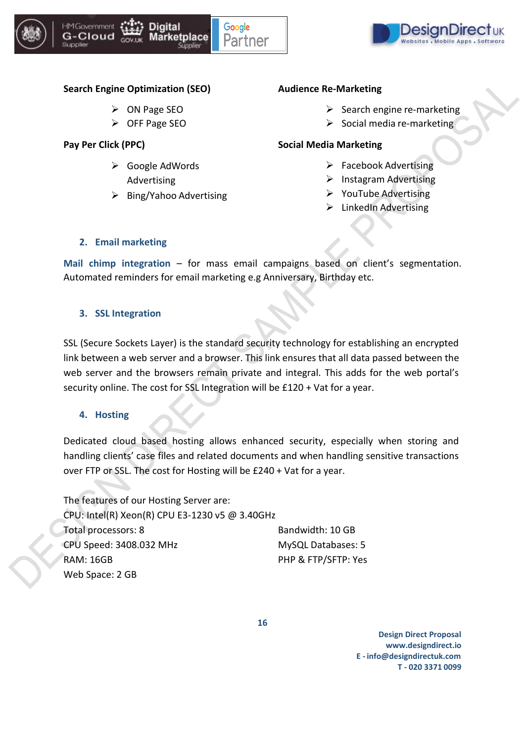





#### **Search Engine Optimization (SEO)**

- ➢ ON Page SEO
- ➢ OFF Page SEO

**Pay Per Click (PPC)**

- ➢ Google AdWords Advertising
- ➢ Bing/Yahoo Advertising

#### **Audience Re-Marketing**

- $\triangleright$  Search engine re-marketing
- $\triangleright$  Social media re-marketing

#### **Social Media Marketing**

- $\triangleright$  Facebook Advertising
- ➢ Instagram Advertising
- ➢ YouTube Advertising
- $\triangleright$  LinkedIn Advertising

#### **2. Email marketing**

**Mail chimp integration** – for mass email campaigns based on client's segmentation. Automated reminders for email marketing e.g Anniversary, Birthday etc.

#### **3. SSL Integration**

SSL (Secure Sockets Layer) is the standard security technology for establishing an encrypted link between a web server and a browser. This link ensures that all data passed between the web server and the browsers remain private and integral. This adds for the web portal's security online. The cost for SSL Integration will be £120 + Vat for a year.

#### **4. Hosting**

Dedicated cloud based hosting allows enhanced security, especially when storing and handling clients' case files and related documents and when handling sensitive transactions over FTP or SSL. The cost for Hosting will be £240 + Vat for a year.

The features of our Hosting Server are: CPU: Intel(R) Xeon(R) CPU E3-1230 v5 @ 3.40GHz Total processors: 8 CPU Speed: 3408.032 MHz RAM: 16GB Web Space: 2 GB Bandwidth: 10 GB MySQL Databases: 5 PHP & FTP/SFTP: Yes

**16**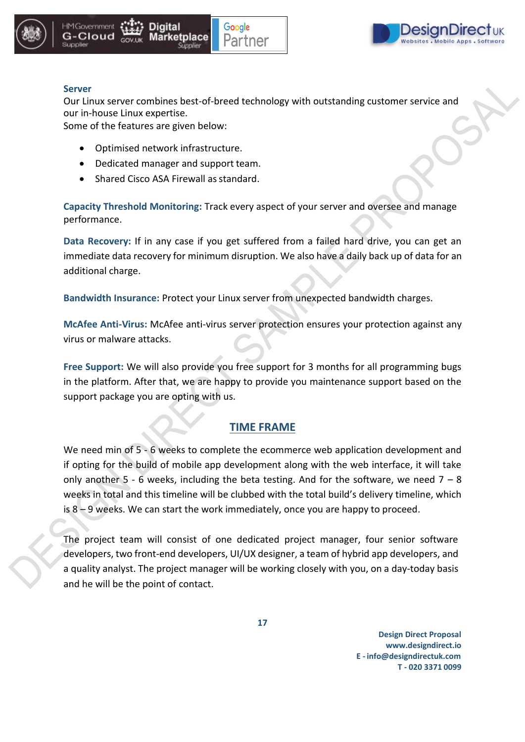





#### **Server**

Our Linux server combines best-of-breed technology with outstanding customer service and our in-house Linux expertise.

Some of the features are given below:

- Optimised network infrastructure.
- Dedicated manager and support team.
- Shared Cisco ASA Firewall as standard.

**Capacity Threshold Monitoring:** Track every aspect of your server and oversee and manage performance.

**Data Recovery:** If in any case if you get suffered from a failed hard drive, you can get an immediate data recovery for minimum disruption. We also have a daily back up of data for an additional charge.

**Bandwidth Insurance:** Protect your Linux server from unexpected bandwidth charges.

**McAfee Anti-Virus:** McAfee anti-virus server protection ensures your protection against any virus or malware attacks.

**Free Support:** We will also provide you free support for 3 months for all programming bugs in the platform. After that, we are happy to provide you maintenance support based on the support package you are opting with us.

#### **TIME FRAME**

We need min of 5 - 6 weeks to complete the ecommerce web application development and if opting for the build of mobile app development along with the web interface, it will take only another 5 - 6 weeks, including the beta testing. And for the software, we need  $7 - 8$ weeks in total and this timeline will be clubbed with the total build's delivery timeline, which is 8 – 9 weeks. We can start the work immediately, once you are happy to proceed.

The project team will consist of one dedicated project manager, four senior software developers, two front-end developers, UI/UX designer, a team of hybrid app developers, and a quality analyst. The project manager will be working closely with you, on a day-today basis and he will be the point of contact.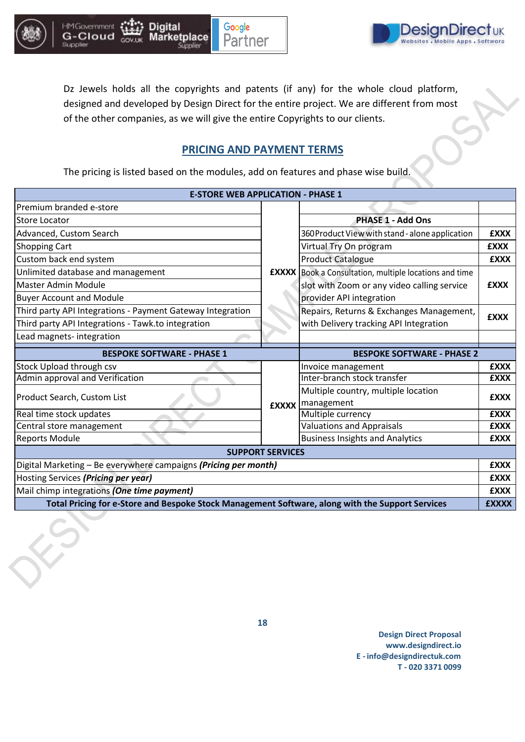

Supplier



Supplier



Dz Jewels holds all the copyrights and patents (if any) for the whole cloud platform, designed and developed by Design Direct for the entire project. We are different from most of the other companies, as we will give the entire Copyrights to our clients.

### **PRICING AND PAYMENT TERMS**

The pricing is listed based on the modules, add on features and phase wise build.

| <b>E-STORE WEB APPLICATION - PHASE 1</b>                        |                         |                                                   |             |
|-----------------------------------------------------------------|-------------------------|---------------------------------------------------|-------------|
| Premium branded e-store                                         |                         |                                                   |             |
| Store Locator                                                   |                         | <b>PHASE 1 - Add Ons</b>                          |             |
| Advanced, Custom Search                                         |                         | 360 Product View with stand - alone application   | <b>EXXX</b> |
| Shopping Cart                                                   |                         | Virtual Try On program                            | <b>£XXX</b> |
| Custom back end system                                          |                         | <b>Product Catalogue</b>                          | <b>£XXX</b> |
| Unlimited database and management                               | <b>EXXXX</b>            | Book a Consultation, multiple locations and time  |             |
| Master Admin Module                                             |                         | slot with Zoom or any video calling service       | <b>EXXX</b> |
| <b>Buyer Account and Module</b>                                 |                         | provider API integration                          |             |
| Third party API Integrations - Payment Gateway Integration      |                         | Repairs, Returns & Exchanges Management,          | <b>EXXX</b> |
| Third party API Integrations - Tawk.to integration              |                         | with Delivery tracking API Integration            |             |
| Lead magnets-integration                                        |                         |                                                   |             |
|                                                                 |                         |                                                   |             |
| <b>BESPOKE SOFTWARE - PHASE 1</b>                               |                         | <b>BESPOKE SOFTWARE - PHASE 2</b>                 |             |
| Stock Upload through csv                                        |                         | Invoice management                                | <b>EXXX</b> |
| Admin approval and Verification                                 |                         | Inter-branch stock transfer                       | <b>£XXX</b> |
| Product Search, Custom List                                     | <b>EXXXX</b>            | Multiple country, multiple location<br>management | <b>EXXX</b> |
| Real time stock updates                                         |                         | Multiple currency                                 | <b>EXXX</b> |
| Central store management                                        |                         | <b>Valuations and Appraisals</b>                  | <b>EXXX</b> |
| <b>Reports Module</b>                                           |                         | <b>Business Insights and Analytics</b>            | <b>EXXX</b> |
|                                                                 | <b>SUPPORT SERVICES</b> |                                                   |             |
| Digital Marketing - Be everywhere campaigns (Pricing per month) |                         |                                                   | <b>EXXX</b> |
| Hosting Services (Pricing per year)                             |                         |                                                   | <b>EXXX</b> |
| Mail chimp integrations (One time payment)                      |                         |                                                   | <b>EXXX</b> |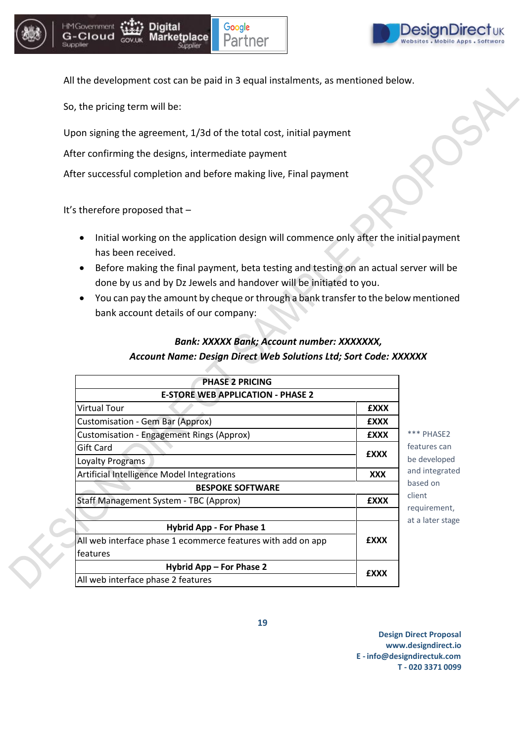





All the development cost can be paid in 3 equal instalments, as mentioned below.

So, the pricing term will be:

Upon signing the agreement, 1/3d of the total cost, initial payment

After confirming the designs, intermediate payment

After successful completion and before making live, Final payment

It's therefore proposed that –

- Initial working on the application design will commence only after the initialpayment has been received.
- Before making the final payment, beta testing and testing on an actual server will be done by us and by Dz Jewels and handover will be initiated to you.
- You can pay the amount by cheque or through a bank transfer to the belowmentioned bank account details of our company:

### *Bank: XXXXX Bank; Account number: XXXXXXX, Account Name: Design Direct Web Solutions Ltd; Sort Code: XXXXXX*

| <b>PHASE 2 PRICING</b>                                       |             |  |
|--------------------------------------------------------------|-------------|--|
| <b>E-STORE WEB APPLICATION - PHASE 2</b>                     |             |  |
| <b>Virtual Tour</b>                                          | <b>EXXX</b> |  |
| Customisation - Gem Bar (Approx)                             | <b>EXXX</b> |  |
| <b>Customisation - Engagement Rings (Approx)</b>             | <b>EXXX</b> |  |
| Gift Card                                                    |             |  |
| Loyalty Programs                                             | <b>EXXX</b> |  |
| <b>Artificial Intelligence Model Integrations</b>            | XXX         |  |
| <b>BESPOKE SOFTWARE</b>                                      |             |  |
| Staff Management System - TBC (Approx)                       | <b>EXXX</b> |  |
|                                                              |             |  |
| <b>Hybrid App - For Phase 1</b>                              |             |  |
| All web interface phase 1 ecommerce features with add on app | <b>EXXX</b> |  |
| features                                                     |             |  |
| Hybrid App - For Phase 2                                     |             |  |
| All web interface phase 2 features                           | <b>EXXX</b> |  |

be developed \*\*\* PHASE2 features can and integrated based on client requirement, at a later stage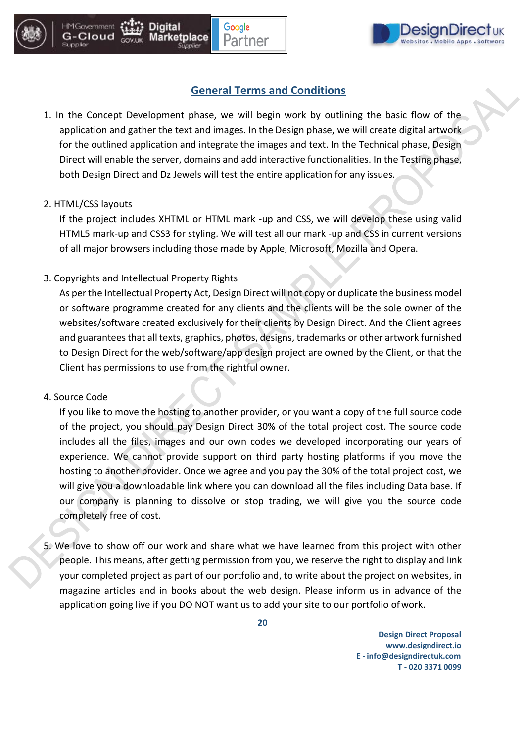

### **General Terms and Conditions**

1. In the Concept Development phase, we will begin work by outlining the basic flow of the application and gather the text and images. In the Design phase, we will create digital artwork for the outlined application and integrate the images and text. In the Technical phase, Design Direct will enable the server, domains and add interactive functionalities. In the Testing phase, both Design Direct and Dz Jewels will test the entire application for any issues.

#### 2. HTML/CSS layouts

**HM Governmen** 

G-Cloud

If the project includes XHTML or HTML mark -up and CSS, we will develop these using valid HTML5 mark-up and CSS3 for styling. We will test all our mark -up and CSS in current versions of all major browsers including those made by Apple, Microsoft, Mozilla and Opera.

#### 3. Copyrights and Intellectual Property Rights

As perthe Intellectual Property Act, Design Direct will not copy or duplicate the business model or software programme created for any clients and the clients will be the sole owner of the websites/software created exclusively for their clients by Design Direct. And the Client agrees and guarantees that all texts, graphics, photos, designs, trademarks or other artwork furnished to Design Direct for the web/software/app design project are owned by the Client, or that the Client has permissions to use from the rightful owner.

#### 4. Source Code

If you like to move the hosting to another provider, or you want a copy of the full source code of the project, you should pay Design Direct 30% of the total project cost. The source code includes all the files, images and our own codes we developed incorporating our years of experience. We cannot provide support on third party hosting platforms if you move the hosting to another provider. Once we agree and you pay the 30% of the total project cost, we will give you a downloadable link where you can download all the files including Data base. If our company is planning to dissolve or stop trading, we will give you the source code completely free of cost.

5. We love to show off our work and share what we have learned from this project with other people. This means, after getting permission from you, we reserve the right to display and link your completed project as part of our portfolio and, to write about the project on websites, in magazine articles and in books about the web design. Please inform us in advance of the application going live if you DO NOT want us to add your site to our portfolio ofwork.